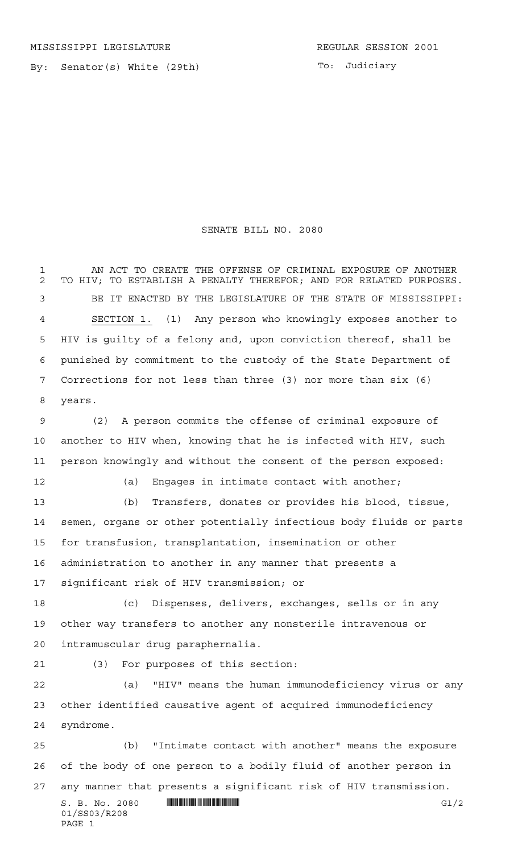By: Senator(s) White (29th)

## SENATE BILL NO. 2080

 AN ACT TO CREATE THE OFFENSE OF CRIMINAL EXPOSURE OF ANOTHER TO HIV; TO ESTABLISH A PENALTY THEREFOR; AND FOR RELATED PURPOSES. BE IT ENACTED BY THE LEGISLATURE OF THE STATE OF MISSISSIPPI: SECTION 1. (1) Any person who knowingly exposes another to HIV is guilty of a felony and, upon conviction thereof, shall be punished by commitment to the custody of the State Department of Corrections for not less than three (3) nor more than six (6) years.

 (2) A person commits the offense of criminal exposure of another to HIV when, knowing that he is infected with HIV, such person knowingly and without the consent of the person exposed:

(a) Engages in intimate contact with another;

 (b) Transfers, donates or provides his blood, tissue, semen, organs or other potentially infectious body fluids or parts for transfusion, transplantation, insemination or other administration to another in any manner that presents a significant risk of HIV transmission; or

 (c) Dispenses, delivers, exchanges, sells or in any other way transfers to another any nonsterile intravenous or intramuscular drug paraphernalia.

(3) For purposes of this section:

 (a) "HIV" means the human immunodeficiency virus or any other identified causative agent of acquired immunodeficiency syndrome.

 (b) "Intimate contact with another" means the exposure of the body of one person to a bodily fluid of another person in any manner that presents a significant risk of HIV transmission.

 $S. B. No. 2080$  ...  $\blacksquare$   $\blacksquare$   $\blacksquare$   $\blacksquare$   $\blacksquare$   $\blacksquare$   $\blacksquare$   $\blacksquare$   $\blacksquare$   $\blacksquare$   $\blacksquare$   $\blacksquare$   $\blacksquare$   $\blacksquare$   $\blacksquare$   $\blacksquare$   $\blacksquare$   $\blacksquare$   $\blacksquare$   $\blacksquare$   $\blacksquare$   $\blacksquare$   $\blacksquare$   $\blacksquare$   $\blacksquare$   $\blacksquare$   $\blacksquare$   $\blacksquare$   $\blacksquare$  01/SS03/R208 PAGE 1